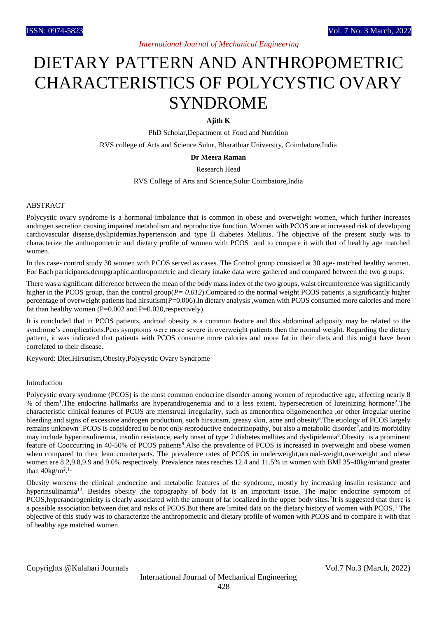# *International Journal of Mechanical Engineering*

# DIETARY PATTERN AND ANTHROPOMETRIC CHARACTERISTICS OF POLYCYSTIC OVARY SYNDROME

# **Ajith K**

PhD Scholar,Department of Food and Nutrition

RVS college of Arts and Science Sulur, Bharathiar University, Coimbatore,India

#### **Dr Meera Raman**

Research Head

RVS College of Arts and Science,Sulur Coimbatore,India

### ABSTRACT

Polycystic ovary syndrome is a hormonal imbalance that is common in obese and overweight women, which further increases androgen secretion causing impaired metabolism and reproductive function. Women with PCOS are at increased risk of developing cardiovascular disease,dyslipidemias,hypertension and type II diabetes Mellitus. The objective of the present study was to characterize the anthropometric and dietary profile of women with PCOS and to compare it with that of healthy age matched women.

In this case- control study 30 women with PCOS served as cases. The Control group consisted at 30 age- matched healthy women. For Each participants,dempgraphic,anthropometric and dietary intake data were gathered and compared between the two groups.

There was a significant difference between the mean of the body mass index of the two groups, waist circumference was significantly higher in the PCOS group, than the control group( $P = 0.012$ ).Compared to the normal weight PCOS patients ,a significantly higher percentage of overweight patients had hirsutism(P=0.006).In dietary analysis ,women with PCOS consumed more calories and more fat than healthy women  $(P=0.002$  and  $P=0.020$ , respectively).

It is concluded that in PCOS patients, android obesity is a common feature and this abdominal adiposity may be related to the syndrome's complications.Pcos symptoms were more severe in overweight patients then the normal weight. Regarding the dietary pattern, it was indicated that patients with PCOS consume more calories and more fat in their diets and this might have been correlated to their disease.

Keyword: Diet,Hirsutism,Obesity,Polycystic Ovary Syndrome

## Introduction

Polycystic ovary syndrome (PCOS) is the most common endocrine disorder among women of reproductive age, affecting nearly 8 % of them<sup>1</sup>. The endocrine hallmarks are hyperandrogenemia and to a less extent, hypersecretion of luteinizing hormone<sup>2</sup>. The characteristic clinical features of PCOS are menstrual irregularity, such as amenorrhea oligomenorrhea ,or other irregular uterine bleeding and signs of excessive androgen production, such hirsutism, greasy skin, acne and obesity<sup>3</sup>. The etiology of PCOS largely remains unknown<sup>2</sup>.PCOS is considered to be not only reproductive endocrinopathy, but also a metabolic disorder<sup>7</sup>, and its morbidity may include hyperinsulinemia, insulin resistance, early onset of type 2 diabetes mellites and dyslipidemia<sup>8</sup>. Obesity is a prominent feature of Cooccurring in 40-50% of PCOS patients<sup>9</sup>. Also the prevalence of PCOS is increased in overweight and obese women when compared to their lean counterparts. The prevalence rates of PCOS in underweight,normal-weight,overweight and obese women are 8.2,9.8,9.9 and 9.0% respectively. Prevalence rates reaches 12.4 and 11.5% in women with BMI 35-40kg/m<sup>2</sup>and greater than  $40\text{kg/m}^2$ .<sup>11</sup>

Obesity worsens the clinical ,endocrine and metabolic features of the syndrome, mostly by increasing insulin resistance and hyperinsulinamia<sup>12</sup>. Besides obesity ,the topography of body fat is an important issue. The major endocrine symptom pf PCOS, hyperandrogenicity is clearly associated with the amount of fat localized in the upper body sites. <sup>2</sup>It is suggested that there is a possible association between diet and risks of PCOS.But there are limited data on the dietary history of women with PCOS.<sup>1</sup> The objective of this study was to characterize the anthropometric and dietary profile of women with PCOS and to compare it with that of healthy age matched women.

Copyrights @Kalahari Journals Vol.7 No.3 (March, 2022)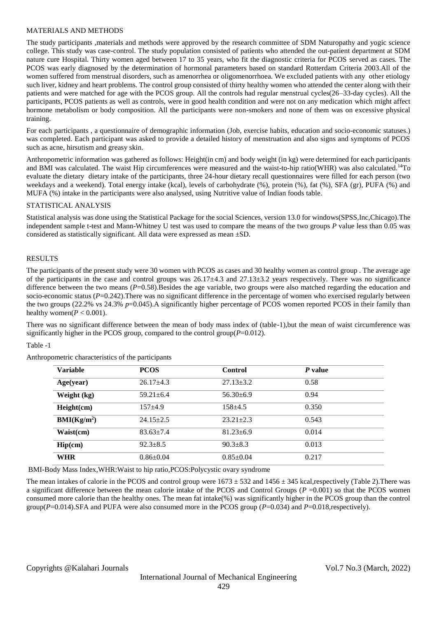## MATERIALS AND METHODS

The study participants ,materials and methods were approved by the research committee of SDM Naturopathy and yogic science college. This study was case-control. The study population consisted of patients who attended the out-patient department at SDM nature cure Hospital. Thirty women aged between 17 to 35 years, who fit the diagnostic criteria for PCOS served as cases. The PCOS was early diagnosed by the determination of hormonal parameters based on standard Rotterdam Criteria 2003.All of the women suffered from menstrual disorders, such as amenorrhea or oligomenorrhoea. We excluded patients with any other etiology such liver, kidney and heart problems. The control group consisted of thirty healthy women who attended the center along with their patients and were matched for age with the PCOS group. All the controls had regular menstrual cycles(26–33-day cycles). All the participants, PCOS patients as well as controls, were in good health condition and were not on any medication which might affect hormone metabolism or body composition. All the participants were non-smokers and none of them was on excessive physical training.

For each participants , a questionnaire of demographic information (Job, exercise habits, education and socio-economic statuses.) was completed. Each participant was asked to provide a detailed history of menstruation and also signs and symptoms of PCOS such as acne, hirsutism and greasy skin.

Anthropometric information was gathered as follows: Height(in cm) and body weight (in kg) were determined for each participants and BMI was calculated. The waist Hip circumferences were measured and the waist-to-hip ratio(WHR) was also calculated.<sup>14</sup>To evaluate the dietary dietary intake of the participants, three 24-hour dietary recall questionnaires were filled for each person (two weekdays and a weekend). Total energy intake (kcal), levels of carbohydrate (%), protein (%), fat (%), SFA (gr), PUFA (%) and MUFA (%) intake in the participants were also analysed, using Nutritive value of Indian foods table.

## STATISTICAL ANALYSIS

Statistical analysis was done using the Statistical Package for the social Sciences, version 13.0 for windows(SPSS,Inc,Chicago).The independent sample t-test and Mann-Whitney U test was used to compare the means of the two groups *P* value less than 0.05 was considered as statistically significant. All data were expressed as mean ±SD.

#### RESULTS

The participants of the present study were 30 women with PCOS as cases and 30 healthy women as control group . The average age of the participants in the case and control groups was  $26.17\pm4.3$  and  $27.13\pm3.2$  years respectively. There was no significance difference between the two means (*P*=0.58).Besides the age variable, two groups were also matched regarding the education and socio-economic status (*P*=0.242). There was no significant difference in the percentage of women who exercised regularly between the two groups (22.2% vs 24.3% *p*=0.045).A significantly higher percentage of PCOS women reported PCOS in their family than healthy women( $P < 0.001$ ).

There was no significant difference between the mean of body mass index of (table-1),but the mean of waist circumference was significantly higher in the PCOS group, compared to the control group $(P=0.012)$ .

## Table -1

| <b>Variable</b>         | <b>PCOS</b>     | <b>Control</b>  | P value |  |
|-------------------------|-----------------|-----------------|---------|--|
| Age(year)               | $26.17\pm4.3$   | $27.13 \pm 3.2$ | 0.58    |  |
| Weight (kg)             | $59.21 \pm 6.4$ | $56.30\pm 6.9$  | 0.94    |  |
| Height(cm)              | $157 + 4.9$     | $158 + 4.5$     | 0.350   |  |
| BMI(Kg/m <sup>2</sup> ) | $24.15 \pm 2.5$ | $23.21 \pm 2.3$ | 0.543   |  |
| Waist(cm)               | $83.63 \pm 7.4$ | $81.23 \pm 6.9$ | 0.014   |  |
| Hip(cm)                 | $92.3 \pm 8.5$  | $90.3 \pm 8.3$  | 0.013   |  |
| WHR                     | $0.86 \pm 0.04$ | $0.85 \pm 0.04$ | 0.217   |  |

Anthropometric characteristics of the participants

BMI-Body Mass Index,WHR:Waist to hip ratio,PCOS:Polycystic ovary syndrome

The mean intakes of calorie in the PCOS and control group were  $1673 \pm 532$  and  $1456 \pm 345$  kcal,respectively (Table 2). There was a significant difference between the mean calorie intake of the PCOS and Control Groups  $(P = 0.001)$  so that the PCOS women consumed more calorie than the healthy ones. The mean fat intake(%) was significantly higher in the PCOS group than the control group(*P*=0.014).SFA and PUFA were also consumed more in the PCOS group (*P*=0.034) and *P*=0.018,respectively).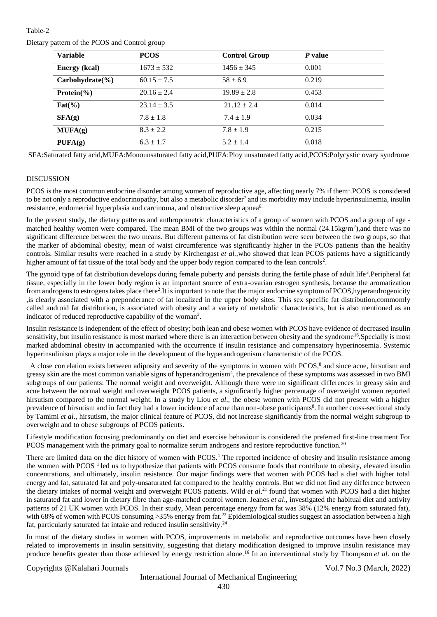# Table-2

Dietary pattern of the PCOS and Control group

| <b>Variable</b>             | <b>PCOS</b>     | <b>Control Group</b> | P value |  |
|-----------------------------|-----------------|----------------------|---------|--|
| <b>Energy</b> (kcal)        | $1673 \pm 532$  | $1456 \pm 345$       | 0.001   |  |
| $Carbohydrate(\frac{9}{6})$ | $60.15 \pm 7.5$ | $58 \pm 6.9$         | 0.219   |  |
| Protein $\frac{6}{6}$       | $20.16 \pm 2.4$ | $19.89 \pm 2.8$      | 0.453   |  |
| $\text{Fat}(\% )$           | $23.14 \pm 3.5$ | $21.12 \pm 2.4$      | 0.014   |  |
| SFA(g)                      | $7.8 \pm 1.8$   | $7.4 \pm 1.9$        | 0.034   |  |
| MUFA(g)                     | $8.3 \pm 2.2$   | $7.8 \pm 1.9$        | 0.215   |  |
| PUFA(g)                     | $6.3 \pm 1.7$   | $5.2 \pm 1.4$        | 0.018   |  |

SFA:Saturated fatty acid,MUFA:Monounsaturated fatty acid,PUFA:Ploy unsaturated fatty acid,PCOS:Polycystic ovary syndrome

# DISCUSSION

PCOS is the most common endocrine disorder among women of reproductive age, affecting nearly 7% if them<sup>1</sup>.PCOS is considered to be not only a reproductive endocrinopathy, but also a metabolic disorder<sup>7</sup> and its morbidity may include hyperinsulinemia, insulin resistance, endometrial hyperplasia and carcinoma, and obstructive sleep apnea8.

In the present study, the dietary patterns and anthropometric characteristics of a group of women with PCOS and a group of age matched healthy women were compared. The mean BMI of the two groups was within the normal  $(24.15\text{kg/m}^2)$ , and there was no significant difference between the two means. But different patterns of fat distribution were seen between the two groups, so that the marker of abdominal obesity, mean of waist circumference was significantly higher in the PCOS patients than the healthy controls. Similar results were reached in a study by Kirchengast *et al.,*who showed that lean PCOS patients have a significantly higher amount of fat tissue of the total body and the upper body region compared to the lean controls<sup>2</sup>.

The gynoid type of fat distribution develops during female puberty and persists during the fertile phase of adult life<sup>2</sup>. Peripheral fat tissue, especially in the lower body region is an important source of extra-ovarian estrogen synthesis, because the aromatization from androgens to estrogens takes place there<sup>2</sup>. It is important to note that the major endocrine symptom of PCOS, hyperandrogenicity ,is clearly associated with a preponderance of fat localized in the upper body sites. This sex specific fat distribution,commomly called android fat distribution, is associated with obesity and a variety of metabolic characteristics, but is also mentioned as an indicator of reduced reproductive capability of the woman<sup>2</sup>.

Insulin resistance is independent of the effect of obesity; both lean and obese women with PCOS have evidence of decreased insulin sensitivity, but insulin resistance is most marked where there is an interaction between obesity and the syndrome<sup>16</sup>. Specially is most marked abdominal obesity in accompanied with the occurrence if insulin resistance and compensatory hyperinosemia. Systemic hyperinsulinism plays a major role in the development of the hyperandrogenism characteristic of the PCOS.

A close correlation exists between adiposity and severity of the symptoms in women with PCOS,<sup>8</sup> and since acne, hirsutism and greasy skin are the most common variable signs of hyperandrogenism<sup>4</sup>, the prevalence of these symptoms was assessed in two BMI subgroups of our patients: The normal weight and overweight. Although there were no significant differences in greasy skin and acne between the normal weight and overweight PCOS patients, a significantly higher percentage of overweight women reported hirsutism compared to the normal weight. In a study by Liou *et al*., the obese women with PCOS did not present with a higher prevalence of hirsutism and in fact they had a lower incidence of acne than non-obese participants<sup>8</sup>. In another cross-sectional study by Tamimi *et al*., hirsutism, the major clinical feature of PCOS, did not increase significantly from the normal weight subgroup to overweight and to obese subgroups of PCOS patients.

Lifestyle modification focusing predominantly on diet and exercise behaviour is considered the preferred first-line treatment For PCOS management with the primary goal to normalize serum androgens and restore reproductive function.<sup>20</sup>

There are limited data on the diet history of women with PCOS.<sup>1</sup> The reported incidence of obesity and insulin resistance among the women with PCOS  $<sup>1</sup>$  led us to hypothesize that patients with PCOS consume foods that contribute to obesity, elevated insulin</sup> concentrations, and ultimately, insulin resistance. Our major findings were that women with PCOS had a diet with higher total energy and fat, saturated fat and poly-unsaturated fat compared to the healthy controls. But we did not find any difference between the dietary intakes of normal weight and overweight PCOS patients. Wild *et al*. <sup>21</sup> found that women with PCOS had a diet higher in saturated fat and lower in dietary fibre than age-matched control women. Jeanes *et al*., investigated the habitual diet and activity patterns of 21 UK women with PCOS. In their study, Mean percentage energy from fat was 38% (12% energy from saturated fat), with 68% of women with PCOS consuming >35% energy from fat.<sup>22</sup> Epidemiological studies suggest an association between a high fat, particularly saturated fat intake and reduced insulin sensitivity.<sup>24</sup>

In most of the dietary studies in women with PCOS, improvements in metabolic and reproductive outcomes have been closely related to improvements in insulin sensitivity, suggesting that dietary modification designed to improve insulin resistance may produce benefits greater than those achieved by energy restriction alone.<sup>16</sup> In an interventional study by Thompson *et al*. on the

Copyrights @Kalahari Journals Vol.7 No.3 (March, 2022)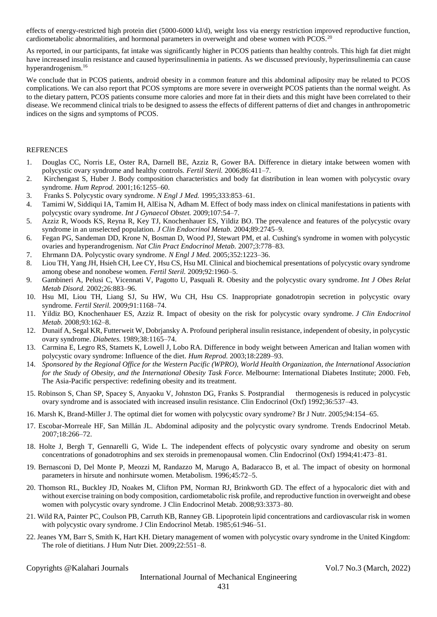effects of energy-restricted high protein diet (5000-6000 kJ/d), weight loss via energy restriction improved reproductive function, cardiometabolic abnormalities, and hormonal parameters in overweight and obese women with PCOS.<sup>20</sup>

As reported, in our participants, fat intake was significantly higher in PCOS patients than healthy controls. This high fat diet might have increased insulin resistance and caused hyperinsulinemia in patients. As we discussed previously, hyperinsulinemia can cause hyperandrogenism.<sup>16</sup>

We conclude that in PCOS patients, android obesity in a common feature and this abdominal adiposity may be related to PCOS complications. We can also report that PCOS symptoms are more severe in overweight PCOS patients than the normal weight. As to the dietary pattern, PCOS patients consume more calories and more fat in their diets and this might have been correlated to their disease. We recommend clinical trials to be designed to assess the effects of different patterns of diet and changes in anthropometric indices on the signs and symptoms of PCOS.

#### **REFRENCES**

- 1. Douglas CC, Norris LE, Oster RA, Darnell BE, Azziz R, Gower BA. Difference in dietary intake between women with polycystic ovary syndrome and healthy controls. *Fertil Steril.* 2006;86:411–7.
- 2. Kirchengast S, Huber J. Body composition characteristics and body fat distribution in lean women with polycystic ovary syndrome. *Hum Reprod.* 2001;16:1255–60.
- 3. Franks S. Polycystic ovary syndrome. *N Engl J Med.* 1995;333:853–61.
- 4. Tamimi W, Siddiqui IA, Tamim H, AlEisa N, Adham M. Effect of body mass index on clinical manifestations in patients with polycystic ovary syndrome. *Int J Gynaecol Obstet.* 2009;107:54–7.
- 5. Azziz R, Woods KS, Reyna R, Key TJ, Knochenhauer ES, Yildiz BO. The prevalence and features of the polycystic ovary syndrome in an unselected population. *J Clin Endocrinol Metab.* 2004;89:2745–9.
- 6. Fegan PG, Sandeman DD, Krone N, Bosman D, Wood PJ, Stewart PM, et al. Cushing's syndrome in women with polycystic ovaries and hyperandrogenism. *Nat Clin Pract Endocrinol Metab.* 2007;3:778–83.
- 7. Ehrmann DA. Polycystic ovary syndrome. *N Engl J Med.* 2005;352:1223–36.
- 8. Liou TH, Yang JH, Hsieh CH, Lee CY, Hsu CS, Hsu MI. Clinical and biochemical presentations of polycystic ovary syndrome among obese and nonobese women. *Fertil Steril.* 2009;92:1960–5.
- 9. Gambineri A, Pelusi C, Vicennati V, Pagotto U, Pasquali R. Obesity and the polycystic ovary syndrome. *Int J Obes Relat Metab Disord.* 2002;26:883–96.
- 10. Hsu MI, Liou TH, Liang SJ, Su HW, Wu CH, Hsu CS. Inappropriate gonadotropin secretion in polycystic ovary syndrome. *Fertil Steril.* 2009;91:1168–74.
- 11. Yildiz BO, Knochenhauer ES, Azziz R. Impact of obesity on the risk for polycystic ovary syndrome. *J Clin Endocrinol Metab.* 2008;93:162–8.
- 12. Dunaif A, Segal KR, Futterweit W, Dobrjansky A. Profound peripheral insulin resistance, independent of obesity, in polycystic ovary syndrome. *Diabetes.* 1989;38:1165–74.
- 13. Carmina E, Legro RS, Stamets K, Lowell J, Lobo RA. Difference in body weight between American and Italian women with polycystic ovary syndrome: Influence of the diet. *Hum Reprod.* 2003;18:2289–93.
- 14. *Sponsored by the Regional Office for the Western Pacific (WPRO), World Health Organization, the International Association for the Study of Obesity, and the International Obesity Task Force.* Melbourne: International Diabetes Institute; 2000. Feb, The Asia-Pacific perspective: redefining obesity and its treatment.
- 15. Robinson S, Chan SP, Spacey S, Anyaoku V, Johnston DG, Franks S. Postprandial thermogenesis is reduced in polycystic ovary syndrome and is associated with increased insulin resistance. Clin Endocrinol (Oxf) 1992;36:537–43.
- 16. Marsh K, Brand-Miller J. The optimal diet for women with polycystic ovary syndrome? Br J Nutr. 2005;94:154–65.
- 17. Escobar-Morreale HF, San Millán JL. Abdominal adiposity and the polycystic ovary syndrome. Trends Endocrinol Metab. 2007;18:266–72.
- 18. Holte J, Bergh T, Gennarelli G, Wide L. The independent effects of polycystic ovary syndrome and obesity on serum concentrations of gonadotrophins and sex steroids in premenopausal women. Clin Endocrinol (Oxf) 1994;41:473–81.
- 19. Bernasconi D, Del Monte P, Meozzi M, Randazzo M, Marugo A, Badaracco B, et al. The impact of obesity on hormonal parameters in hirsute and nonhirsute women. Metabolism. 1996;45:72–5.
- 20. Thomson RL, Buckley JD, Noakes M, Clifton PM, Norman RJ, Brinkworth GD. The effect of a hypocaloric diet with and without exercise training on body composition, cardiometabolic risk profile, and reproductive function in overweight and obese women with polycystic ovary syndrome. J Clin Endocrinol Metab. 2008;93:3373–80.
- 21. Wild RA, Painter PC, Coulson PB, Carruth KB, Ranney GB. Lipoprotein lipid concentrations and cardiovascular risk in women with polycystic ovary syndrome. J Clin Endocrinol Metab. 1985;61:946–51.
- 22. Jeanes YM, Barr S, Smith K, Hart KH. Dietary management of women with polycystic ovary syndrome in the United Kingdom: The role of dietitians. J Hum Nutr Diet. 2009;22:551–8.

Copyrights @Kalahari Journals Vol.7 No.3 (March, 2022)